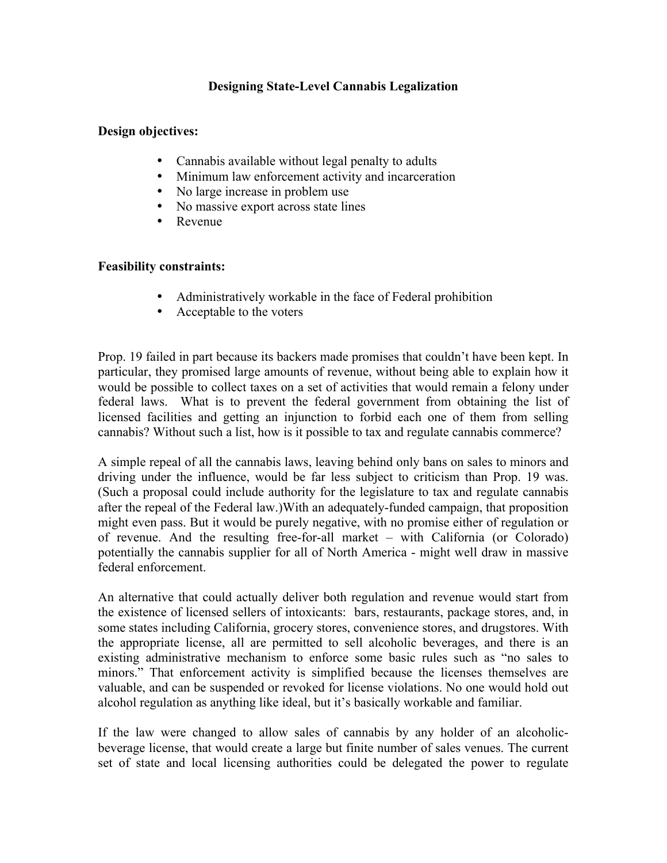## **Designing State-Level Cannabis Legalization**

## **Design objectives:**

- Cannabis available without legal penalty to adults
- Minimum law enforcement activity and incarceration
- No large increase in problem use
- No massive export across state lines
- Revenue

## **Feasibility constraints:**

- Administratively workable in the face of Federal prohibition
- Acceptable to the voters

Prop. 19 failed in part because its backers made promises that couldn't have been kept. In particular, they promised large amounts of revenue, without being able to explain how it would be possible to collect taxes on a set of activities that would remain a felony under federal laws. What is to prevent the federal government from obtaining the list of licensed facilities and getting an injunction to forbid each one of them from selling cannabis? Without such a list, how is it possible to tax and regulate cannabis commerce?

A simple repeal of all the cannabis laws, leaving behind only bans on sales to minors and driving under the influence, would be far less subject to criticism than Prop. 19 was. (Such a proposal could include authority for the legislature to tax and regulate cannabis after the repeal of the Federal law.)With an adequately-funded campaign, that proposition might even pass. But it would be purely negative, with no promise either of regulation or of revenue. And the resulting free-for-all market – with California (or Colorado) potentially the cannabis supplier for all of North America - might well draw in massive federal enforcement.

An alternative that could actually deliver both regulation and revenue would start from the existence of licensed sellers of intoxicants: bars, restaurants, package stores, and, in some states including California, grocery stores, convenience stores, and drugstores. With the appropriate license, all are permitted to sell alcoholic beverages, and there is an existing administrative mechanism to enforce some basic rules such as "no sales to minors." That enforcement activity is simplified because the licenses themselves are valuable, and can be suspended or revoked for license violations. No one would hold out alcohol regulation as anything like ideal, but it's basically workable and familiar.

If the law were changed to allow sales of cannabis by any holder of an alcoholicbeverage license, that would create a large but finite number of sales venues. The current set of state and local licensing authorities could be delegated the power to regulate